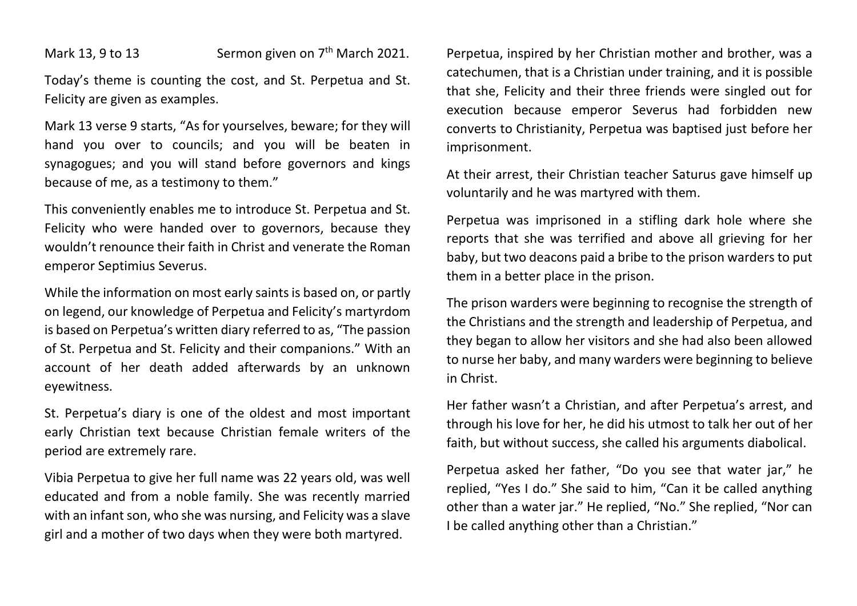## Mark 13, 9 to 13 Sermon given on  $7<sup>th</sup>$  March 2021.

Today's theme is counting the cost, and St. Perpetua and St. Felicity are given as examples.

Mark 13 verse 9 starts, "As for yourselves, beware; for they will hand you over to councils; and you will be beaten in synagogues; and you will stand before governors and kings because of me, as a testimony to them."

This conveniently enables me to introduce St. Perpetua and St. Felicity who were handed over to governors, because they wouldn't renounce their faith in Christ and venerate the Roman emperor Septimius Severus.

While the information on most early saints is based on, or partly on legend, our knowledge of Perpetua and Felicity's martyrdom is based on Perpetua's written diary referred to as, "The passion of St. Perpetua and St. Felicity and their companions." With an account of her death added afterwards by an unknown eyewitness.

St. Perpetua's diary is one of the oldest and most important early Christian text because Christian female writers of the period are extremely rare.

Vibia Perpetua to give her full name was 22 years old, was well educated and from a noble family. She was recently married with an infant son, who she was nursing, and Felicity was a slave girl and a mother of two days when they were both martyred.

Perpetua, inspired by her Christian mother and brother, was a catechumen, that is a Christian under training, and it is possible that she, Felicity and their three friends were singled out for execution because emperor Severus had forbidden new converts to Christianity, Perpetua was baptised just before her imprisonment.

At their arrest, their Christian teacher Saturus gave himself up voluntarily and he was martyred with them.

Perpetua was imprisoned in a stifling dark hole where she reports that she was terrified and above all grieving for her baby, but two deacons paid a bribe to the prison warders to put them in a better place in the prison.

The prison warders were beginning to recognise the strength of the Christians and the strength and leadership of Perpetua, and they began to allow her visitors and she had also been allowed to nurse her baby, and many warders were beginning to believe in Christ.

Her father wasn't a Christian, and after Perpetua's arrest, and through his love for her, he did his utmost to talk her out of her faith, but without success, she called his arguments diabolical.

Perpetua asked her father, "Do you see that water jar," he replied, "Yes I do." She said to him, "Can it be called anything other than a water jar." He replied, "No." She replied, "Nor can I be called anything other than a Christian."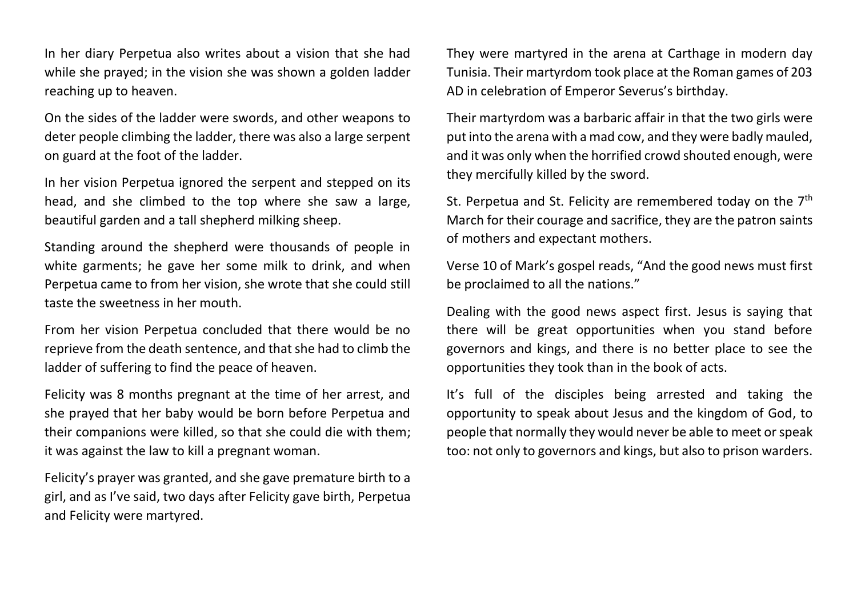In her diary Perpetua also writes about a vision that she had while she prayed; in the vision she was shown a golden ladder reaching up to heaven.

On the sides of the ladder were swords, and other weapons to deter people climbing the ladder, there was also a large serpent on guard at the foot of the ladder.

In her vision Perpetua ignored the serpent and stepped on its head, and she climbed to the top where she saw a large, beautiful garden and a tall shepherd milking sheep.

Standing around the shepherd were thousands of people in white garments; he gave her some milk to drink, and when Perpetua came to from her vision, she wrote that she could still taste the sweetness in her mouth.

From her vision Perpetua concluded that there would be no reprieve from the death sentence, and that she had to climb the ladder of suffering to find the peace of heaven.

Felicity was 8 months pregnant at the time of her arrest, and she prayed that her baby would be born before Perpetua and their companions were killed, so that she could die with them; it was against the law to kill a pregnant woman.

Felicity's prayer was granted, and she gave premature birth to a girl, and as I've said, two days after Felicity gave birth, Perpetua and Felicity were martyred.

They were martyred in the arena at Carthage in modern day Tunisia. Their martyrdom took place at the Roman games of 203 AD in celebration of Emperor Severus's birthday.

Their martyrdom was a barbaric affair in that the two girls were put into the arena with a mad cow, and they were badly mauled, and it was only when the horrified crowd shouted enough, were they mercifully killed by the sword.

St. Perpetua and St. Felicity are remembered today on the  $7<sup>th</sup>$ March for their courage and sacrifice, they are the patron saints of mothers and expectant mothers.

Verse 10 of Mark's gospel reads, "And the good news must first be proclaimed to all the nations."

Dealing with the good news aspect first. Jesus is saying that there will be great opportunities when you stand before governors and kings, and there is no better place to see the opportunities they took than in the book of acts.

It's full of the disciples being arrested and taking the opportunity to speak about Jesus and the kingdom of God, to people that normally they would never be able to meet or speak too: not only to governors and kings, but also to prison warders.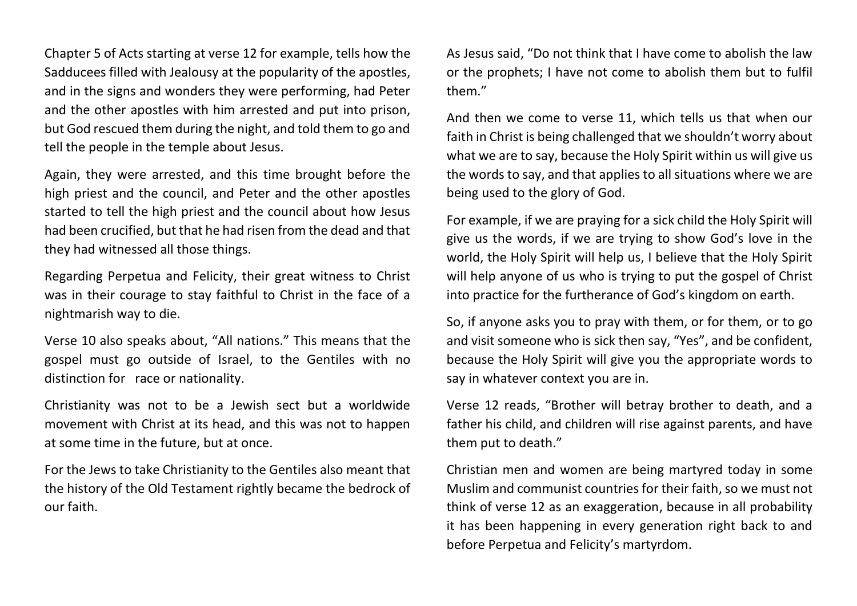Chapter 5 of Acts starting at verse 12 for example, tells how the Sadducees filled with Jealousy at the popularity of the apostles, and in the signs and wonders they were performing, had Peter and the other apostles with him arrested and put into prison, but God rescued them during the night, and told them to go and tell the people in the temple about Jesus.

Again, they were arrested, and this time brought before the high priest and the council, and Peter and the other apostles started to tell the high priest and the council about how Jesus had been crucified, but that he had risen from the dead and that they had witnessed all those things.

Regarding Perpetua and Felicity, their great witness to Christ was in their courage to stay faithful to Christ in the face of a nightmarish way to die.

Verse 10 also speaks about, "All nations." This means that the gospel must go outside of Israel, to the Gentiles with no distinction for race or nationality.

Christianity was not to be a Jewish sect but a worldwide movement with Christ at its head, and this was not to happen at some time in the future, but at once.

For the Jews to take Christianity to the Gentiles also meant that the history of the Old Testament rightly became the bedrock of our faith.

As Jesus said, "Do not think that I have come to abolish the law or the prophets; I have not come to abolish them but to fulfil them."

And then we come to verse 11, which tells us that when our faith in Christ is being challenged that we shouldn't worry about what we are to say, because the Holy Spirit within us will give us the words to say, and that applies to all situations where we are being used to the glory of God.

For example, if we are praying for a sick child the Holy Spirit will give us the words, if we are trying to show God's love in the world, the Holy Spirit will help us, I believe that the Holy Spirit will help anyone of us who is trying to put the gospel of Christ into practice for the furtherance of God's kingdom on earth.

So, if anyone asks you to pray with them, or for them, or to go and visit someone who is sick then say, "Yes", and be confident, because the Holy Spirit will give you the appropriate words to say in whatever context you are in.

Verse 12 reads, "Brother will betray brother to death, and a father his child, and children will rise against parents, and have them put to death."

Christian men and women are being martyred today in some Muslim and communist countries for their faith, so we must not think of verse 12 as an exaggeration, because in all probability it has been happening in every generation right back to and before Perpetua and Felicity's martyrdom.